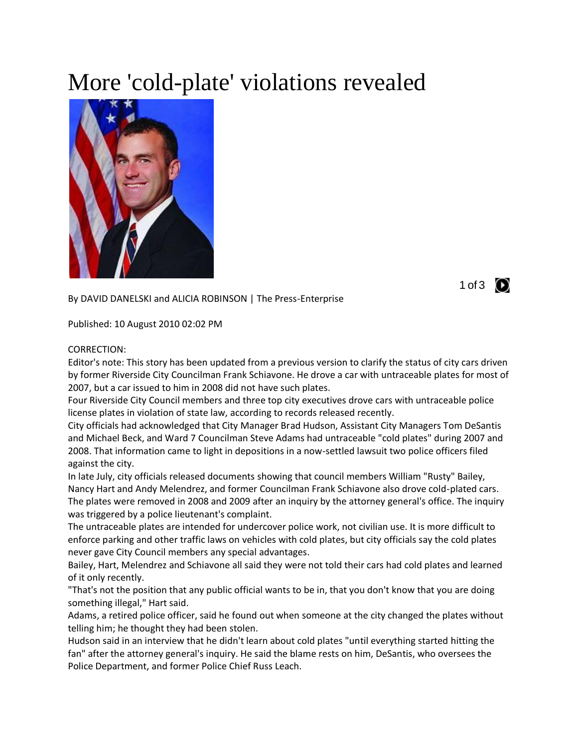## More 'cold-plate' violations revealed



By DAVID DANELSKI and ALICIA ROBINSON | The Press-Enterprise

Published: 10 August 2010 02:02 PM

## CORRECTION:

Editor's note: This story has been updated from a previous version to clarify the status of city cars driven by former Riverside City Councilman Frank Schiavone. He drove a car with untraceable plates for most of 2007, but a car issued to him in 2008 did not have such plates.

Four Riverside City Council members and three top city executives drove cars with untraceable police license plates in violation of state law, according to records released recently.

City officials had acknowledged that City Manager Brad Hudson, Assistant City Managers Tom DeSantis and Michael Beck, and Ward 7 Councilman Steve Adams had untraceable "cold plates" during 2007 and 2008. That information came to light in depositions in a now-settled lawsuit two police officers filed against the city.

In late July, city officials released documents showing that council members William "Rusty" Bailey, Nancy Hart and Andy Melendrez, and former Councilman Frank Schiavone also drove cold-plated cars. The plates were removed in 2008 and 2009 after an inquiry by the attorney general's office. The inquiry was triggered by a police lieutenant's complaint.

The untraceable plates are intended for undercover police work, not civilian use. It is more difficult to enforce parking and other traffic laws on vehicles with cold plates, but city officials say the cold plates never gave City Council members any special advantages.

Bailey, Hart, Melendrez and Schiavone all said they were not told their cars had cold plates and learned of it only recently.

"That's not the position that any public official wants to be in, that you don't know that you are doing something illegal," Hart said.

Adams, a retired police officer, said he found out when someone at the city changed the plates without telling him; he thought they had been stolen.

Hudson said in an interview that he didn't learn about cold plates "until everything started hitting the fan" after the attorney general's inquiry. He said the blame rests on him, DeSantis, who oversees the Police Department, and former Police Chief Russ Leach.

1 of 3  $\bullet$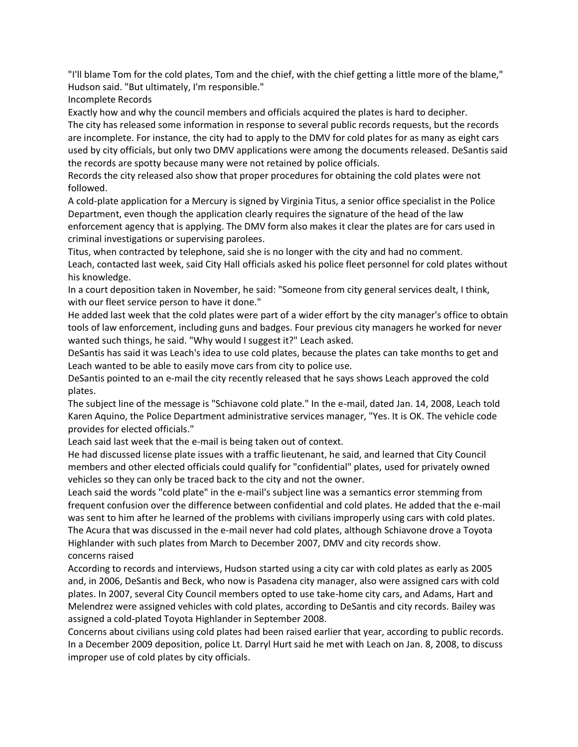"I'll blame Tom for the cold plates, Tom and the chief, with the chief getting a little more of the blame," Hudson said. "But ultimately, I'm responsible."

Incomplete Records

Exactly how and why the council members and officials acquired the plates is hard to decipher.

The city has released some information in response to several public records requests, but the records are incomplete. For instance, the city had to apply to the DMV for cold plates for as many as eight cars used by city officials, but only two DMV applications were among the documents released. DeSantis said the records are spotty because many were not retained by police officials.

Records the city released also show that proper procedures for obtaining the cold plates were not followed.

A cold-plate application for a Mercury is signed by Virginia Titus, a senior office specialist in the Police Department, even though the application clearly requires the signature of the head of the law enforcement agency that is applying. The DMV form also makes it clear the plates are for cars used in criminal investigations or supervising parolees.

Titus, when contracted by telephone, said she is no longer with the city and had no comment. Leach, contacted last week, said City Hall officials asked his police fleet personnel for cold plates without his knowledge.

In a court deposition taken in November, he said: "Someone from city general services dealt, I think, with our fleet service person to have it done."

He added last week that the cold plates were part of a wider effort by the city manager's office to obtain tools of law enforcement, including guns and badges. Four previous city managers he worked for never wanted such things, he said. "Why would I suggest it?" Leach asked.

DeSantis has said it was Leach's idea to use cold plates, because the plates can take months to get and Leach wanted to be able to easily move cars from city to police use.

DeSantis pointed to an e-mail the city recently released that he says shows Leach approved the cold plates.

The subject line of the message is "Schiavone cold plate." In the e-mail, dated Jan. 14, 2008, Leach told Karen Aquino, the Police Department administrative services manager, "Yes. It is OK. The vehicle code provides for elected officials."

Leach said last week that the e-mail is being taken out of context.

He had discussed license plate issues with a traffic lieutenant, he said, and learned that City Council members and other elected officials could qualify for "confidential" plates, used for privately owned vehicles so they can only be traced back to the city and not the owner.

Leach said the words "cold plate" in the e-mail's subject line was a semantics error stemming from frequent confusion over the difference between confidential and cold plates. He added that the e-mail was sent to him after he learned of the problems with civilians improperly using cars with cold plates. The Acura that was discussed in the e-mail never had cold plates, although Schiavone drove a Toyota Highlander with such plates from March to December 2007, DMV and city records show. concerns raised

According to records and interviews, Hudson started using a city car with cold plates as early as 2005 and, in 2006, DeSantis and Beck, who now is Pasadena city manager, also were assigned cars with cold plates. In 2007, several City Council members opted to use take-home city cars, and Adams, Hart and Melendrez were assigned vehicles with cold plates, according to DeSantis and city records. Bailey was assigned a cold-plated Toyota Highlander in September 2008.

Concerns about civilians using cold plates had been raised earlier that year, according to public records. In a December 2009 deposition, police Lt. Darryl Hurt said he met with Leach on Jan. 8, 2008, to discuss improper use of cold plates by city officials.